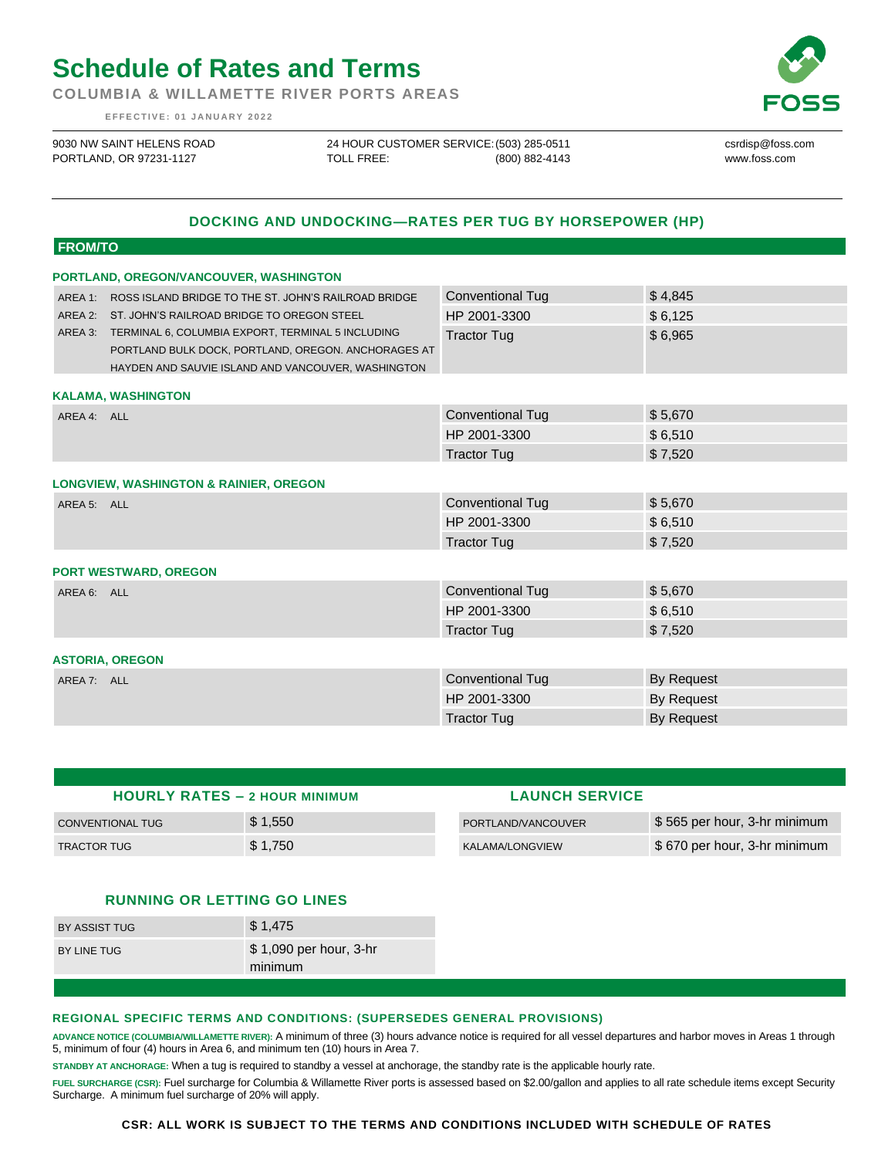# **Schedule of Rates and Terms**

**COLUMBIA & WILLAMETTE RIVER PORTS AREAS**

**E F F E C T I V E : 0 1 J A N U A R Y 202 2**

9030 NW SAINT HELENS ROAD PORTLAND, OR 97231-1127

24 HOUR CUSTOMER SERVICE: (503) 285-0511 TOLL FREE: (800) 882-4143 csrdisp@foss.com www.foss.com

## **DOCKING AND UNDOCKING—RATES PER TUG BY HORSEPOWER (HP)**

#### **FROM/TO**

| PORTLAND, OREGON/VANCOUVER, WASHINGTON            |                                                                                                                                                                                                                                                                                              |                         |            |  |  |
|---------------------------------------------------|----------------------------------------------------------------------------------------------------------------------------------------------------------------------------------------------------------------------------------------------------------------------------------------------|-------------------------|------------|--|--|
|                                                   | AREA 1: ROSS ISLAND BRIDGE TO THE ST. JOHN'S RAILROAD BRIDGE<br>AREA 2: ST. JOHN'S RAILROAD BRIDGE TO OREGON STEEL<br>AREA 3: TERMINAL 6, COLUMBIA EXPORT, TERMINAL 5 INCLUDING<br>PORTLAND BULK DOCK, PORTLAND, OREGON. ANCHORAGES AT<br>HAYDEN AND SAUVIE ISLAND AND VANCOUVER, WASHINGTON | <b>Conventional Tug</b> | \$4,845    |  |  |
|                                                   |                                                                                                                                                                                                                                                                                              | HP 2001-3300            | \$6,125    |  |  |
|                                                   |                                                                                                                                                                                                                                                                                              | <b>Tractor Tug</b>      | \$6,965    |  |  |
| <b>KALAMA, WASHINGTON</b>                         |                                                                                                                                                                                                                                                                                              |                         |            |  |  |
| AREA 4: ALL                                       |                                                                                                                                                                                                                                                                                              | <b>Conventional Tug</b> | \$5,670    |  |  |
|                                                   |                                                                                                                                                                                                                                                                                              | HP 2001-3300            | \$6,510    |  |  |
|                                                   |                                                                                                                                                                                                                                                                                              | <b>Tractor Tug</b>      | \$7,520    |  |  |
| <b>LONGVIEW, WASHINGTON &amp; RAINIER, OREGON</b> |                                                                                                                                                                                                                                                                                              |                         |            |  |  |
| AREA 5: ALL                                       |                                                                                                                                                                                                                                                                                              | <b>Conventional Tug</b> | \$5,670    |  |  |
|                                                   |                                                                                                                                                                                                                                                                                              | HP 2001-3300            | \$6,510    |  |  |
|                                                   |                                                                                                                                                                                                                                                                                              | <b>Tractor Tug</b>      | \$7,520    |  |  |
| <b>PORT WESTWARD, OREGON</b>                      |                                                                                                                                                                                                                                                                                              |                         |            |  |  |
| AREA 6: ALL                                       |                                                                                                                                                                                                                                                                                              | <b>Conventional Tug</b> | \$5,670    |  |  |
|                                                   |                                                                                                                                                                                                                                                                                              | HP 2001-3300            | \$6,510    |  |  |
|                                                   |                                                                                                                                                                                                                                                                                              | <b>Tractor Tug</b>      | \$7,520    |  |  |
| <b>ASTORIA, OREGON</b>                            |                                                                                                                                                                                                                                                                                              |                         |            |  |  |
| AREA 7: ALL                                       |                                                                                                                                                                                                                                                                                              | <b>Conventional Tug</b> | By Request |  |  |
|                                                   |                                                                                                                                                                                                                                                                                              | HP 2001-3300            | By Request |  |  |
|                                                   |                                                                                                                                                                                                                                                                                              | <b>Tractor Tug</b>      | By Request |  |  |

| <b>HOURLY RATES - 2 HOUR MINIMUM</b> |         | <b>LAUNCH SERVICE</b> |                              |
|--------------------------------------|---------|-----------------------|------------------------------|
| CONVENTIONAL TUG                     | \$1,550 | PORTLAND/VANCOUVER    | \$565 per hour, 3-hr minimum |
| <b>TRACTOR TUG</b>                   | \$1,750 | KALAMA/LONGVIEW       | \$670 per hour, 3-hr minimum |

### **RUNNING OR LETTING GO LINES**

| BY ASSIST TUG | \$1,475                           |
|---------------|-----------------------------------|
| BY LINE TUG   | \$1,090 per hour, 3-hr<br>minimum |

#### **REGIONAL SPECIFIC TERMS AND CONDITIONS: (SUPERSEDES GENERAL PROVISIONS)**

**ADVANCE NOTICE (COLUMBIA/WILLAMETTE RIVER):** A minimum of three (3) hours advance notice is required for all vessel departures and harbor moves in Areas 1 through 5, minimum of four (4) hours in Area 6, and minimum ten (10) hours in Area 7.

**STANDBY AT ANCHORAGE:** When a tug is required to standby a vessel at anchorage, the standby rate is the applicable hourly rate.

**FUEL SURCHARGE (CSR):** Fuel surcharge for Columbia & Willamette River ports is assessed based on \$2.00/gallon and applies to all rate schedule items except Security Surcharge. A minimum fuel surcharge of 20% will apply.

#### **CSR: ALL WORK IS SUBJECT TO THE TERMS AND CONDITIONS INCLUDED WITH SCHEDULE OF RATES**